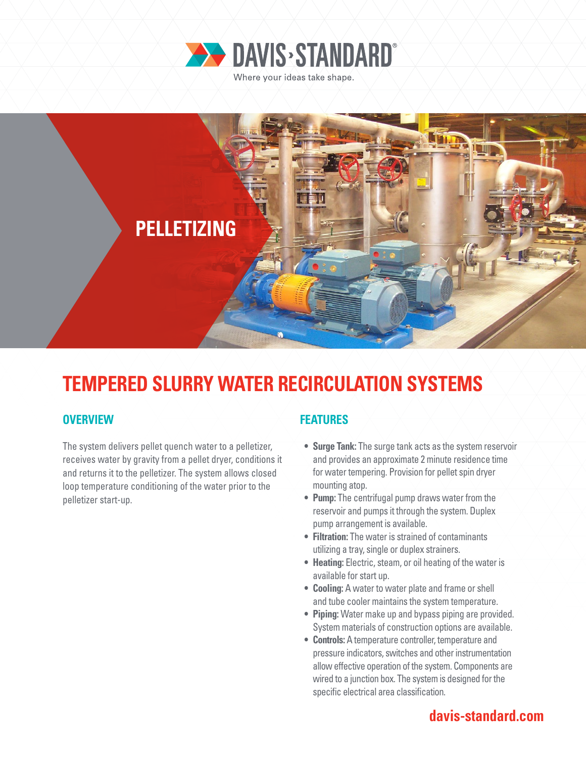



# **TEMPERED SLURRY WATER RECIRCULATION SYSTEMS**

## **OVERVIEW**

The system delivers pellet quench water to a pelletizer, receives water by gravity from a pellet dryer, conditions it and returns it to the pelletizer. The system allows closed loop temperature conditioning of the water prior to the pelletizer start-up.

## **FEATURES**

- **• Surge Tank:** The surge tank acts as the system reservoir and provides an approximate 2 minute residence time for water tempering. Provision for pellet spin dryer mounting atop.
- **• Pump:** The centrifugal pump draws water from the reservoir and pumps it through the system. Duplex pump arrangement is available.
- **• Filtration:** The water is strained of contaminants utilizing a tray, single or duplex strainers.
- **• Heating:** Electric, steam, or oil heating of the water is available for start up.
- **• Cooling:** A water to water plate and frame or shell and tube cooler maintains the system temperature.
- **• Piping:** Water make up and bypass piping are provided. System materials of construction options are available.
- **• Controls:** A temperature controller, temperature and pressure indicators, switches and other instrumentation allow effective operation of the system. Components are wired to a junction box. The system is designed for the specific electrical area classification.

# **davis-standard.com**